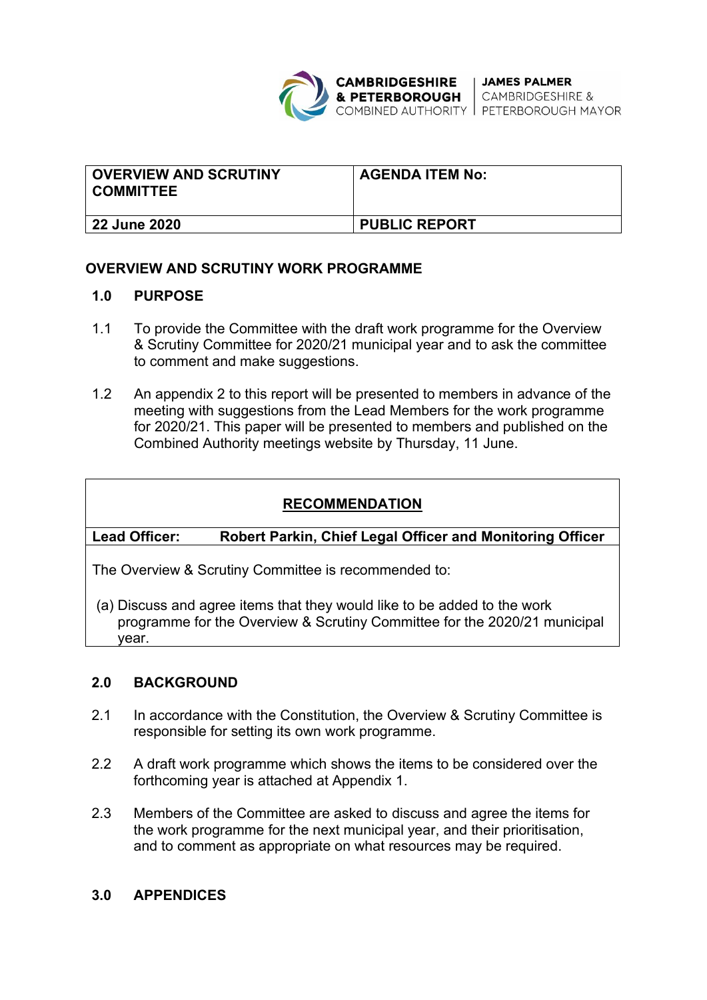

| <b>OVERVIEW AND SCRUTINY</b><br><b>COMMITTEE</b> | <b>AGENDA ITEM No:</b> |
|--------------------------------------------------|------------------------|
| 22 June 2020                                     | <b>PUBLIC REPORT</b>   |

## **OVERVIEW AND SCRUTINY WORK PROGRAMME**

#### **1.0 PURPOSE**

- 1.1 To provide the Committee with the draft work programme for the Overview & Scrutiny Committee for 2020/21 municipal year and to ask the committee to comment and make suggestions.
- 1.2 An appendix 2 to this report will be presented to members in advance of the meeting with suggestions from the Lead Members for the work programme for 2020/21. This paper will be presented to members and published on the Combined Authority meetings website by Thursday, 11 June.

# **RECOMMENDATION**

#### **Lead Officer: Robert Parkin, Chief Legal Officer and Monitoring Officer**

The Overview & Scrutiny Committee is recommended to:

(a) Discuss and agree items that they would like to be added to the work programme for the Overview & Scrutiny Committee for the 2020/21 municipal year.

### **2.0 BACKGROUND**

- 2.1 In accordance with the Constitution, the Overview & Scrutiny Committee is responsible for setting its own work programme.
- 2.2 A draft work programme which shows the items to be considered over the forthcoming year is attached at Appendix 1.
- 2.3 Members of the Committee are asked to discuss and agree the items for the work programme for the next municipal year, and their prioritisation, and to comment as appropriate on what resources may be required.

#### **3.0 APPENDICES**